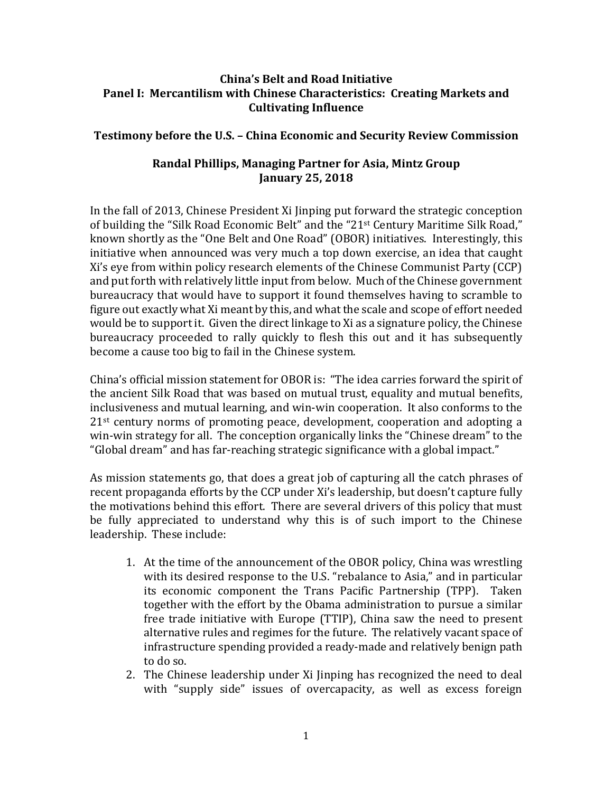## **China's Belt and Road Initiative Panel I: Mercantilism with Chinese Characteristics: Creating Markets and Cultivating Influence**

## **Testimony before the U.S. – China Economic and Security Review Commission**

## **Randal Phillips, Managing Partner for Asia, Mintz Group January 25, 2018**

In the fall of 2013, Chinese President Xi Jinping put forward the strategic conception of building the "Silk Road Economic Belt" and the "21st Century Maritime Silk Road," known shortly as the "One Belt and One Road" (OBOR) initiatives. Interestingly, this initiative when announced was very much a top down exercise, an idea that caught Xi's eye from within policy research elements of the Chinese Communist Party (CCP) and put forth with relatively little input from below. Much of the Chinese government bureaucracy that would have to support it found themselves having to scramble to figure out exactly what Xi meant by this, and what the scale and scope of effort needed would be to support it. Given the direct linkage to Xi as a signature policy, the Chinese bureaucracy proceeded to rally quickly to flesh this out and it has subsequently become a cause too big to fail in the Chinese system.

China's official mission statement for OBOR is: "The idea carries forward the spirit of the ancient Silk Road that was based on mutual trust, equality and mutual benefits, inclusiveness and mutual learning, and win-win cooperation. It also conforms to the 21st century norms of promoting peace, development, cooperation and adopting a win-win strategy for all. The conception organically links the "Chinese dream" to the "Global dream" and has far-reaching strategic significance with a global impact."

As mission statements go, that does a great job of capturing all the catch phrases of recent propaganda efforts by the CCP under Xi's leadership, but doesn't capture fully the motivations behind this effort. There are several drivers of this policy that must be fully appreciated to understand why this is of such import to the Chinese leadership. These include:

- 1. At the time of the announcement of the OBOR policy, China was wrestling with its desired response to the U.S. "rebalance to Asia," and in particular its economic component the Trans Pacific Partnership (TPP). Taken together with the effort by the Obama administration to pursue a similar free trade initiative with Europe (TTIP), China saw the need to present alternative rules and regimes for the future. The relatively vacant space of infrastructure spending provided a ready-made and relatively benign path to do so.
- 2. The Chinese leadership under Xi Jinping has recognized the need to deal with "supply side" issues of overcapacity, as well as excess foreign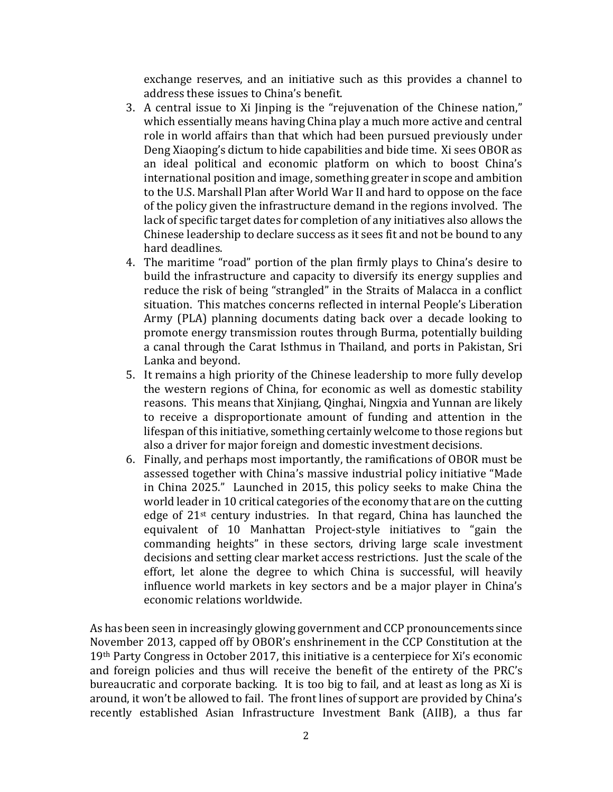exchange reserves, and an initiative such as this provides a channel to address these issues to China's benefit.

- 3. A central issue to Xi Jinping is the "rejuvenation of the Chinese nation," which essentially means having China play a much more active and central role in world affairs than that which had been pursued previously under Deng Xiaoping's dictum to hide capabilities and bide time. Xi sees OBOR as an ideal political and economic platform on which to boost China's international position and image, something greater in scope and ambition to the U.S. Marshall Plan after World War II and hard to oppose on the face of the policy given the infrastructure demand in the regions involved. The lack of specific target dates for completion of any initiatives also allows the Chinese leadership to declare success as it sees fit and not be bound to any hard deadlines.
- 4. The maritime "road" portion of the plan firmly plays to China's desire to build the infrastructure and capacity to diversify its energy supplies and reduce the risk of being "strangled" in the Straits of Malacca in a conflict situation. This matches concerns reflected in internal People's Liberation Army (PLA) planning documents dating back over a decade looking to promote energy transmission routes through Burma, potentially building a canal through the Carat Isthmus in Thailand, and ports in Pakistan, Sri Lanka and beyond.
- 5. It remains a high priority of the Chinese leadership to more fully develop the western regions of China, for economic as well as domestic stability reasons. This means that Xinjiang, Qinghai, Ningxia and Yunnan are likely to receive a disproportionate amount of funding and attention in the lifespan of this initiative, something certainly welcome to those regions but also a driver for major foreign and domestic investment decisions.
- 6. Finally, and perhaps most importantly, the ramifications of OBOR must be assessed together with China's massive industrial policy initiative "Made in China 2025." Launched in 2015, this policy seeks to make China the world leader in 10 critical categories of the economy that are on the cutting edge of 21st century industries. In that regard, China has launched the equivalent of 10 Manhattan Project-style initiatives to "gain the commanding heights" in these sectors, driving large scale investment decisions and setting clear market access restrictions. Just the scale of the effort, let alone the degree to which China is successful, will heavily influence world markets in key sectors and be a major player in China's economic relations worldwide.

As has been seen in increasingly glowing government and CCP pronouncements since November 2013, capped off by OBOR's enshrinement in the CCP Constitution at the 19th Party Congress in October 2017, this initiative is a centerpiece for Xi's economic and foreign policies and thus will receive the benefit of the entirety of the PRC's bureaucratic and corporate backing. It is too big to fail, and at least as long as Xi is around, it won't be allowed to fail. The front lines of support are provided by China's recently established Asian Infrastructure Investment Bank (AIIB), a thus far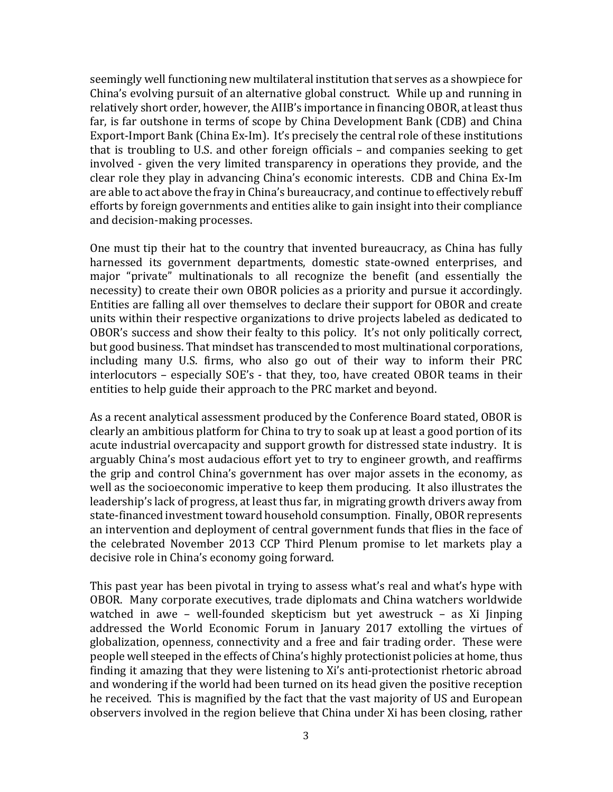seemingly well functioning new multilateral institution that serves as a showpiece for China's evolving pursuit of an alternative global construct. While up and running in relatively short order, however, the AIIB's importance in financing OBOR, at least thus far, is far outshone in terms of scope by China Development Bank (CDB) and China Export-Import Bank (China Ex-Im). It's precisely the central role of these institutions that is troubling to U.S. and other foreign officials – and companies seeking to get involved - given the very limited transparency in operations they provide, and the clear role they play in advancing China's economic interests. CDB and China Ex-Im are able to act above the fray in China's bureaucracy, and continue to effectively rebuff efforts by foreign governments and entities alike to gain insight into their compliance and decision-making processes.

One must tip their hat to the country that invented bureaucracy, as China has fully harnessed its government departments, domestic state-owned enterprises, and major "private" multinationals to all recognize the benefit (and essentially the necessity) to create their own OBOR policies as a priority and pursue it accordingly. Entities are falling all over themselves to declare their support for OBOR and create units within their respective organizations to drive projects labeled as dedicated to OBOR's success and show their fealty to this policy. It's not only politically correct, but good business. That mindset has transcended to most multinational corporations, including many U.S. firms, who also go out of their way to inform their PRC interlocutors – especially SOE's - that they, too, have created OBOR teams in their entities to help guide their approach to the PRC market and beyond.

As a recent analytical assessment produced by the Conference Board stated, OBOR is clearly an ambitious platform for China to try to soak up at least a good portion of its acute industrial overcapacity and support growth for distressed state industry. It is arguably China's most audacious effort yet to try to engineer growth, and reaffirms the grip and control China's government has over major assets in the economy, as well as the socioeconomic imperative to keep them producing. It also illustrates the leadership's lack of progress, at least thus far, in migrating growth drivers away from state-financed investment toward household consumption. Finally, OBOR represents an intervention and deployment of central government funds that flies in the face of the celebrated November 2013 CCP Third Plenum promise to let markets play a decisive role in China's economy going forward.

This past year has been pivotal in trying to assess what's real and what's hype with OBOR. Many corporate executives, trade diplomats and China watchers worldwide watched in awe – well-founded skepticism but yet awestruck – as Xi Jinping addressed the World Economic Forum in January 2017 extolling the virtues of globalization, openness, connectivity and a free and fair trading order. These were people well steeped in the effects of China's highly protectionist policies at home, thus finding it amazing that they were listening to Xi's anti-protectionist rhetoric abroad and wondering if the world had been turned on its head given the positive reception he received. This is magnified by the fact that the vast majority of US and European observers involved in the region believe that China under Xi has been closing, rather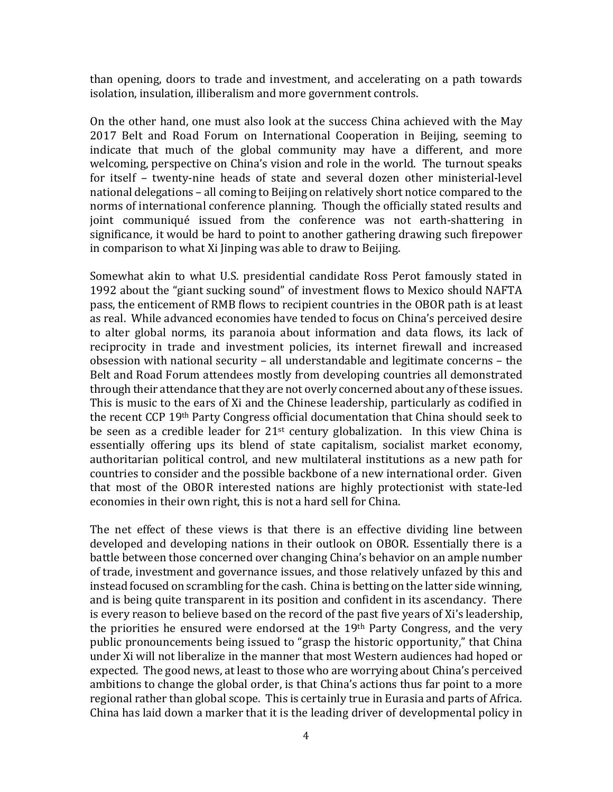than opening, doors to trade and investment, and accelerating on a path towards isolation, insulation, illiberalism and more government controls.

On the other hand, one must also look at the success China achieved with the May 2017 Belt and Road Forum on International Cooperation in Beijing, seeming to indicate that much of the global community may have a different, and more welcoming, perspective on China's vision and role in the world. The turnout speaks for itself – twenty-nine heads of state and several dozen other ministerial-level national delegations – all coming to Beijing on relatively short notice compared to the norms of international conference planning. Though the officially stated results and joint communiqué issued from the conference was not earth-shattering in significance, it would be hard to point to another gathering drawing such firepower in comparison to what Xi Jinping was able to draw to Beijing.

Somewhat akin to what U.S. presidential candidate Ross Perot famously stated in 1992 about the "giant sucking sound" of investment flows to Mexico should NAFTA pass, the enticement of RMB flows to recipient countries in the OBOR path is at least as real. While advanced economies have tended to focus on China's perceived desire to alter global norms, its paranoia about information and data flows, its lack of reciprocity in trade and investment policies, its internet firewall and increased obsession with national security – all understandable and legitimate concerns – the Belt and Road Forum attendees mostly from developing countries all demonstrated through their attendance that they are not overly concerned about any of these issues. This is music to the ears of Xi and the Chinese leadership, particularly as codified in the recent CCP 19th Party Congress official documentation that China should seek to be seen as a credible leader for  $21<sup>st</sup>$  century globalization. In this view China is essentially offering ups its blend of state capitalism, socialist market economy, authoritarian political control, and new multilateral institutions as a new path for countries to consider and the possible backbone of a new international order. Given that most of the OBOR interested nations are highly protectionist with state-led economies in their own right, this is not a hard sell for China.

The net effect of these views is that there is an effective dividing line between developed and developing nations in their outlook on OBOR. Essentially there is a battle between those concerned over changing China's behavior on an ample number of trade, investment and governance issues, and those relatively unfazed by this and instead focused on scrambling for the cash. China is betting on the latter side winning, and is being quite transparent in its position and confident in its ascendancy. There is every reason to believe based on the record of the past five years of Xi's leadership, the priorities he ensured were endorsed at the 19th Party Congress, and the very public pronouncements being issued to "grasp the historic opportunity," that China under Xi will not liberalize in the manner that most Western audiences had hoped or expected. The good news, at least to those who are worrying about China's perceived ambitions to change the global order, is that China's actions thus far point to a more regional rather than global scope. This is certainly true in Eurasia and parts of Africa. China has laid down a marker that it is the leading driver of developmental policy in